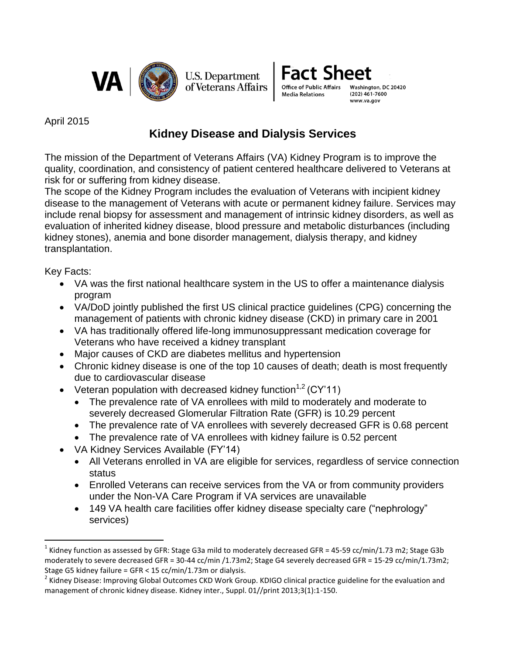



Washington, DC 20420  $(202)$  461-7600 www.va.gov

April 2015

## **Kidney Disease and Dialysis Services**

The mission of the Department of Veterans Affairs (VA) Kidney Program is to improve the quality, coordination, and consistency of patient centered healthcare delivered to Veterans at risk for or suffering from kidney disease.

The scope of the Kidney Program includes the evaluation of Veterans with incipient kidney disease to the management of Veterans with acute or permanent kidney failure. Services may include renal biopsy for assessment and management of intrinsic kidney disorders, as well as evaluation of inherited kidney disease, blood pressure and metabolic disturbances (including kidney stones), anemia and bone disorder management, dialysis therapy, and kidney transplantation.

Key Facts:

 $\overline{a}$ 

- VA was the first national healthcare system in the US to offer a maintenance dialysis program
- VA/DoD jointly published the first US clinical practice quidelines (CPG) concerning the management of patients with chronic kidney disease (CKD) in primary care in 2001
- VA has traditionally offered life-long immunosuppressant medication coverage for Veterans who have received a kidney transplant
- Major causes of CKD are diabetes mellitus and hypertension
- Chronic kidney disease is one of the top 10 causes of death; death is most frequently due to cardiovascular disease
- Veteran population with decreased kidney function<sup>1,2</sup> (CY'11)
	- The prevalence rate of VA enrollees with mild to moderately and moderate to severely decreased Glomerular Filtration Rate (GFR) is 10.29 percent
	- The prevalence rate of VA enrollees with severely decreased GFR is 0.68 percent
	- The prevalence rate of VA enrollees with kidney failure is 0.52 percent
- VA Kidney Services Available (FY'14)
	- All Veterans enrolled in VA are eligible for services, regardless of service connection status
	- Enrolled Veterans can receive services from the VA or from community providers under the Non-VA Care Program if VA services are unavailable
	- 149 VA health care facilities offer kidney disease specialty care ("nephrology" services)

<sup>&</sup>lt;sup>1</sup> Kidney function as assessed by GFR: Stage G3a mild to moderately decreased GFR = 45-59 cc/min/1.73 m2; Stage G3b moderately to severe decreased GFR = 30-44 cc/min /1.73m2; Stage G4 severely decreased GFR = 15-29 cc/min/1.73m2; Stage G5 kidney failure = GFR < 15 cc/min/1.73m or dialysis.

<sup>&</sup>lt;sup>2</sup> Kidney Disease: Improving Global Outcomes CKD Work Group. KDIGO clinical practice guideline for the evaluation and management of chronic kidney disease. Kidney inter., Suppl. 01//print 2013;3(1):1-150.